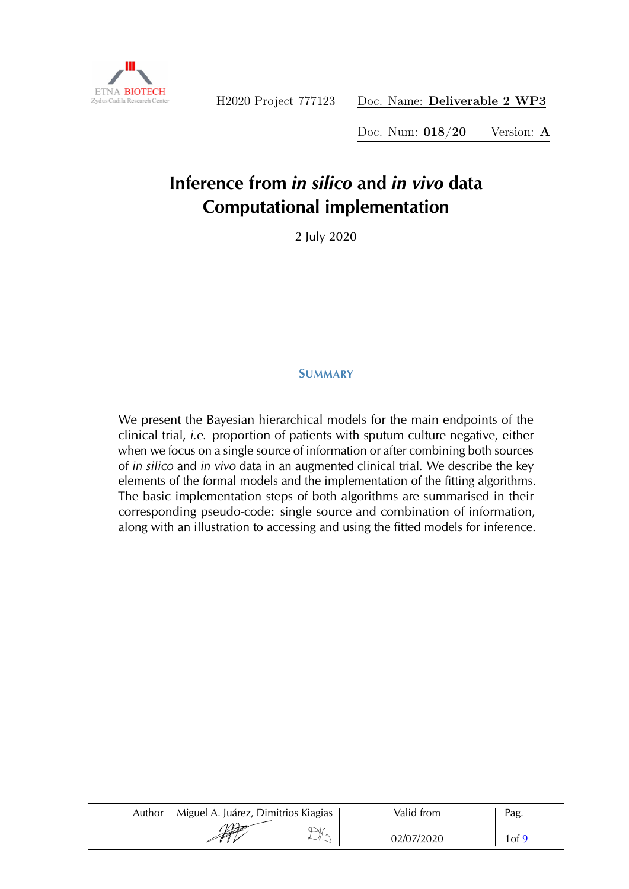

Doc. Num: 018/20 Version: A

# **Inference from** *in silico* **and** *in vivo* **data Computational implementation**

2 July 2020

#### SUMMARY

We present the Bayesian hierarchical models for the main endpoints of the clinical trial, *i.e.* proportion of patients with sputum culture negative, either when we focus on a single source of information or after combining both sources of *in silico* and *in vivo* data in an augmented clinical trial. We describe the key elements of the formal models and the implementation of the fitting algorithms. The basic implementation steps of both algorithms are summarised in their corresponding pseudo-code: single source and combination of information, along with an illustration to accessing and using the fitted models for inference.

| Author | Miguel A. Juárez, Dimitrios Kiagias | Valid from | Pag.  |
|--------|-------------------------------------|------------|-------|
|        | <b>SEPTE</b><br>⋊                   | 02/07/2020 | 1of 9 |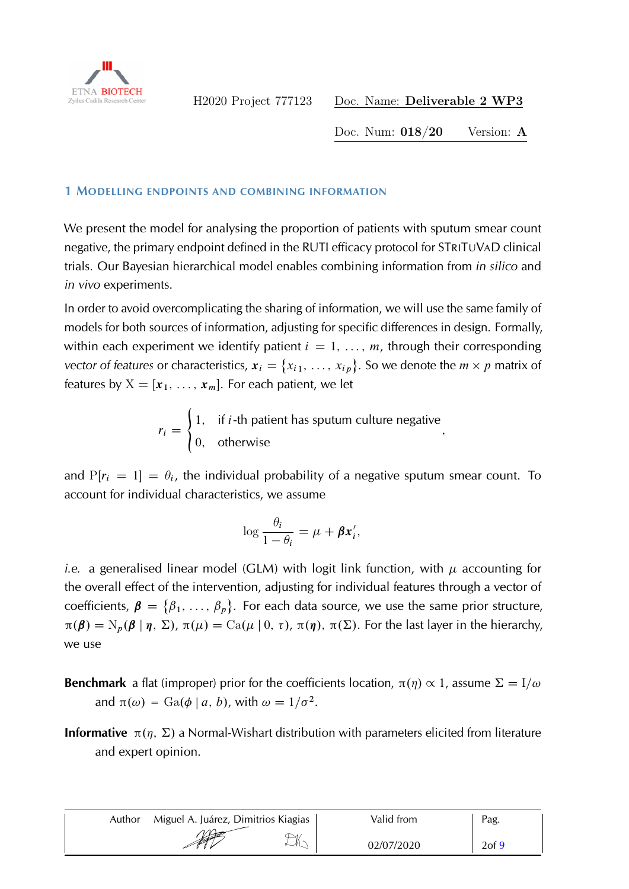

Doc. Num: 018/20 Version: A

;

#### 1 MODELLING ENDPOINTS AND COMBINING INFORMATION

We present the model for analysing the proportion of patients with sputum smear count negative, the primary endpoint defined in the RUTI efficacy protocol for STRITUVAD clinical trials. Our Bayesian hierarchical model enables combining information from *in silico* and *in vivo* experiments.

In order to avoid overcomplicating the sharing of information, we will use the same family of models for both sources of information, adjusting for specific differences in design. Formally, within each experiment we identify patient  $i = 1, \ldots, m$ , through their corresponding *vector of features or characteristics,*  $x_i = \{x_{i1}, \ldots, x_{ip}\}$ *. So we denote the*  $m \times p$  *matrix of* features by  $X = [x_1, \ldots, x_m]$ . For each patient, we let

> $r_i = \begin{cases} 1, & \text{if } i\text{-th patient has sputum culture negative} \end{cases}$ 0; otherwise

and  $P[r_i = 1] = \theta_i$ , the individual probability of a negative sputum smear count. To account for individual characteristics, we assume

$$
\log \frac{\theta_i}{1-\theta_i} = \mu + \beta x'_i,
$$

*i.e.* a generalised linear model (GLM) with logit link function, with  $\mu$  accounting for the overall effect of the intervention, adjusting for individual features through a vector of coefficients,  $\beta = {\beta_1, ..., \beta_p}$ . For each data source, we use the same prior structure,  $\pi(\boldsymbol{\beta}) = N_p(\boldsymbol{\beta} | \boldsymbol{\eta}, \boldsymbol{\Sigma})$ ,  $\pi(\mu) = \text{Ca}(\mu | 0, \tau)$ ,  $\pi(\boldsymbol{\eta})$ ,  $\pi(\boldsymbol{\Sigma})$ . For the last layer in the hierarchy, we use

- **Benchmark** a flat (improper) prior for the coefficients location,  $\pi(\eta) \propto 1$ , assume  $\Sigma = I/\omega$ and  $\pi(\omega) = \text{Ga}(\phi \mid a, b)$ , with  $\omega = 1/\sigma^2$ .
- **Informative**  $\pi(\eta, \Sigma)$  a Normal-Wishart distribution with parameters elicited from literature and expert opinion.

| Author | Miguel A. Juárez, Dimitrios Kiagias | Valid from | Pag.     |
|--------|-------------------------------------|------------|----------|
|        | $\sqrt{2}$<br>$\vee$<br><b>SEPT</b> | 02/07/2020 | $2$ of 9 |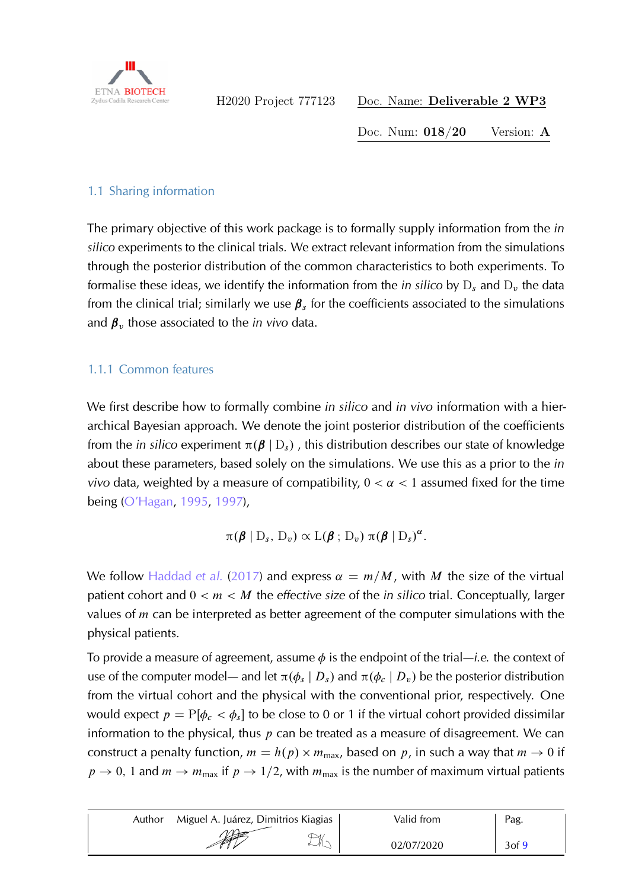

Doc. Num: 018/20 Version: A

### 1.1 Sharing information

The primary objective of this work package is to formally supply information from the *in silico* experiments to the clinical trials. We extract relevant information from the simulations through the posterior distribution of the common characteristics to both experiments. To formalise these ideas, we identify the information from the *in silico* by  $D_s$  and  $D_v$  the data from the clinical trial; similarly we use  $\beta_s$  for the coefficients associated to the simulations and  $\beta_v$  those associated to the *in vivo* data.

## 1.1.1 Common features

We first describe how to formally combine *in silico* and *in vivo* information with a hierarchical Bayesian approach. We denote the joint posterior distribution of the coefficients from the *in silico* experiment  $\pi(\beta | D_s)$ , this distribution describes our state of knowledge about these parameters, based solely on the simulations. We use this as a prior to the *in vivo* data, weighted by a measure of compatibility,  $0 < \alpha < 1$  assumed fixed for the time being [\(O'Hagan,](#page-8-1) [1995,](#page-8-1) [1997\)](#page-8-2),

$$
\pi(\boldsymbol{\beta} | D_s, D_v) \propto L(\boldsymbol{\beta} ; D_v) \pi(\boldsymbol{\beta} | D_s)^{\alpha}.
$$

We follow [Haddad](#page-8-3) *et al.* [\(2017\)](#page-8-3) and express  $\alpha = m/M$ , with M the size of the virtual patient cohort and 0 < m < M the *effective size* of the *in silico* trial. Conceptually, larger values of  $m$  can be interpreted as better agreement of the computer simulations with the physical patients.

To provide a measure of agreement, assume  $\phi$  is the endpoint of the trial—*i.e.* the context of use of the computer model— and let  $\pi(\phi_s | D_s)$  and  $\pi(\phi_c | D_v)$  be the posterior distribution from the virtual cohort and the physical with the conventional prior, respectively. One would expect  $p = P[\phi_c < \phi_s]$  to be close to 0 or 1 if the virtual cohort provided dissimilar information to the physical, thus  $p$  can be treated as a measure of disagreement. We can construct a penalty function,  $m = h(p) \times m_{\text{max}}$ , based on p, in such a way that  $m \to 0$  if  $p \rightarrow 0$ , 1 and  $m \rightarrow m_{\text{max}}$  if  $p \rightarrow 1/2$ , with  $m_{\text{max}}$  is the number of maximum virtual patients

| Author | Miguel A. Juárez, Dimitrios Kiagias | Valid from | Pag.       |
|--------|-------------------------------------|------------|------------|
|        | ↘<br><b>ANY</b>                     | 02/07/2020 | $3$ of $9$ |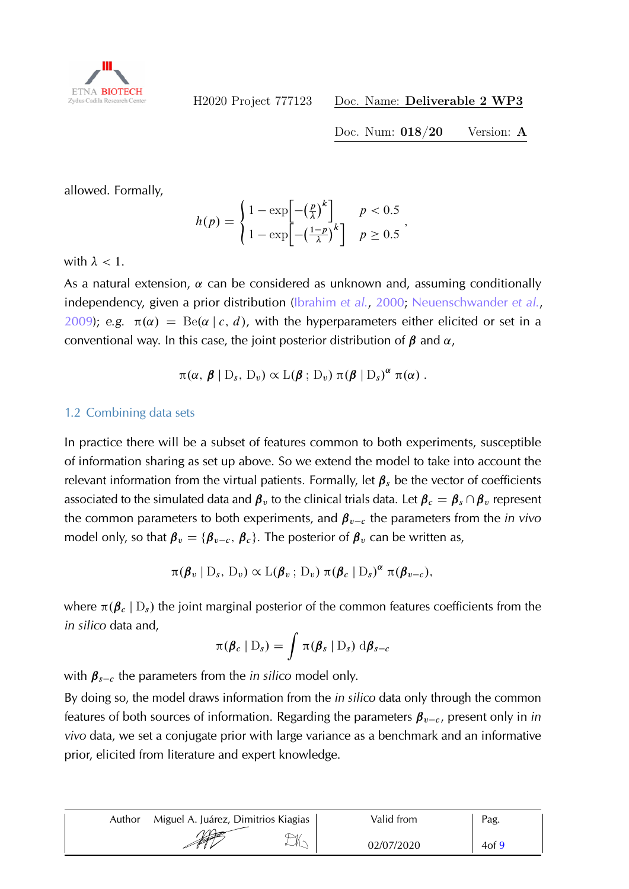

Doc. Num: 018/20 Version: A

allowed. Formally,

$$
h(p) = \begin{cases} 1 - \exp\left[-\left(\frac{p}{\lambda}\right)^k\right] & p < 0.5 \\ 1 - \exp\left[-\left(\frac{1-p}{\lambda}\right)^k\right] & p \ge 0.5 \end{cases}
$$

with  $\lambda$  < 1.

As a natural extension,  $\alpha$  can be considered as unknown and, assuming conditionally independency, given a prior distribution [\(Ibrahim](#page-8-4) *et al.*, [2000;](#page-8-4) [Neuenschwander](#page-8-5) *et al.*,  $2009$ ; *e.g.*  $\pi(\alpha) = \text{Be}(\alpha \mid c, d)$ , with the hyperparameters either elicited or set in a conventional way. In this case, the joint posterior distribution of  $\beta$  and  $\alpha$ ,

$$
\pi(\alpha, \beta | D_s, D_v) \propto \mathcal{L}(\beta; D_v) \pi(\beta | D_s)^{\alpha} \pi(\alpha).
$$

#### 1.2 Combining data sets

In practice there will be a subset of features common to both experiments, susceptible of information sharing as set up above. So we extend the model to take into account the relevant information from the virtual patients. Formally, let  $\beta_s$  be the vector of coefficients associated to the simulated data and  $\beta_v$  to the clinical trials data. Let  $\beta_c = \beta_s \cap \beta_v$  represent the common parameters to both experiments, and  $\beta_{v-c}$  the parameters from the *in vivo* model only, so that  $\beta_v = {\beta_{v-c}, \beta_c}$ . The posterior of  $\beta_v$  can be written as,

$$
\pi(\boldsymbol{\beta}_v \mid D_s, D_v) \propto \mathcal{L}(\boldsymbol{\beta}_v \,;\, D_v) \, \pi(\boldsymbol{\beta}_c \mid D_s)^{\alpha} \, \pi(\boldsymbol{\beta}_{v-c}),
$$

where  $\pi(\beta_c | D_s)$  the joint marginal posterior of the common features coefficients from the *in silico* data and,

$$
\pi(\boldsymbol{\beta}_c | D_s) = \int \pi(\boldsymbol{\beta}_s | D_s) d\boldsymbol{\beta}_{s-c}
$$

with  $\beta_{s-c}$  the parameters from the *in silico* model only.

By doing so, the model draws information from the *in silico* data only through the common features of both sources of information. Regarding the parameters  $\beta_{v-c}$ , present only in *in vivo* data, we set a conjugate prior with large variance as a benchmark and an informative prior, elicited from literature and expert knowledge.

| Author | Miguel A. Juárez, Dimitrios Kiagias | Valid from | Pag.     |
|--------|-------------------------------------|------------|----------|
|        | STE                                 | 02/07/2020 | $4$ of 9 |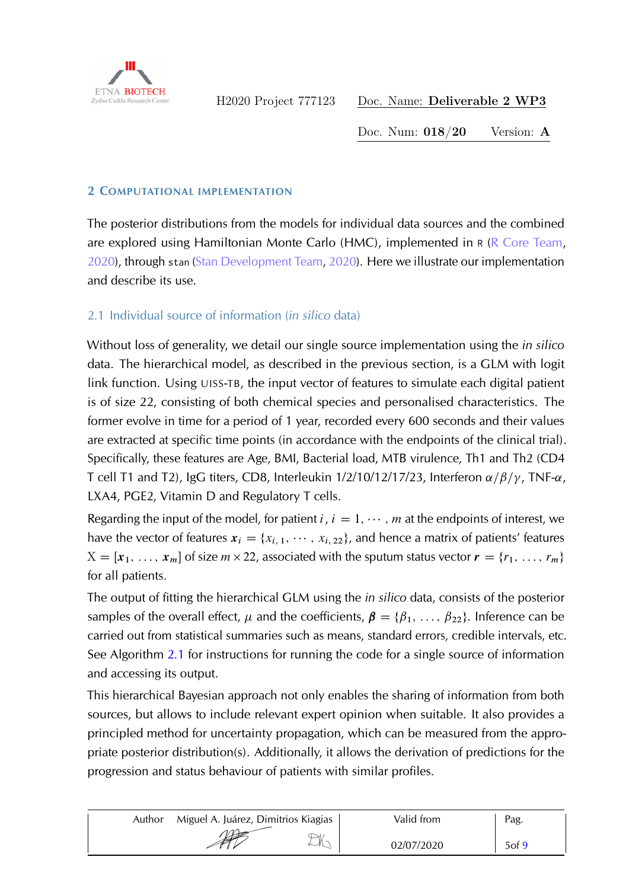

Doc. Num: 018/20 Version: A

#### 2 COMPUTATIONAL IMPLEMENTATION

The posterior distributions from the models for individual data sources and the combined are explored using Hamiltonian Monte Carlo (HMC), implemented in  $R$  ( $R$  Core Team, [2020\)](#page-8-6), through stan [\(Stan Development Team,](#page-8-7) [2020\)](#page-8-7). Here we illustrate our implementation and describe its use.

## 2.1 Individual source of information (*in silico* data)

Without loss of generality, we detail our single source implementation using the *in silico* data. The hierarchical model, as described in the previous section, is a GLM with logit link function. Using UISS-TB, the input vector of features to simulate each digital patient is of size 22, consisting of both chemical species and personalised characteristics. The former evolve in time for a period of 1 year, recorded every 600 seconds and their values are extracted at specific time points (in accordance with the endpoints of the clinical trial). Specifically, these features are Age, BMI, Bacterial load, MTB virulence, Th1 and Th2 (CD4 T cell T1 and T2), IgG titers, CD8, Interleukin  $1/2/10/12/17/23$ , Interferon  $\alpha/\beta/\gamma$ , TNF- $\alpha$ , LXA4, PGE2, Vitamin D and Regulatory T cells.

Regarding the input of the model, for patient  $i, i = 1, \cdots, m$  at the endpoints of interest, we have the vector of features  $x_i = \{x_{i, 1}, \dots, x_{i, 22}\}$ , and hence a matrix of patients' features  $X = [\mathbf{x}_1, \ldots, \mathbf{x}_m]$  of size  $m \times 22$ , associated with the sputum status vector  $\mathbf{r} = \{r_1, \ldots, r_m\}$ for all patients.

The output of fitting the hierarchical GLM using the *in silico* data, consists of the posterior samples of the overall effect,  $\mu$  and the coefficients,  $\beta = {\beta_1, \ldots, \beta_{22}}$ . Inference can be carried out from statistical summaries such as means, standard errors, credible intervals, etc. See Algorithm [2.1](#page-5-0) for instructions for running the code for a single source of information and accessing its output.

This hierarchical Bayesian approach not only enables the sharing of information from both sources, but allows to include relevant expert opinion when suitable. It also provides a principled method for uncertainty propagation, which can be measured from the appropriate posterior distribution(s). Additionally, it allows the derivation of predictions for the progression and status behaviour of patients with similar profiles.

| Author | Miguel A. Juárez, Dimitrios Kiagias | Valid from | Pag.              |
|--------|-------------------------------------|------------|-------------------|
|        | $\rightarrow$<br><b>SEPTE</b>       | 02/07/2020 | 5 <sub>of</sub> 9 |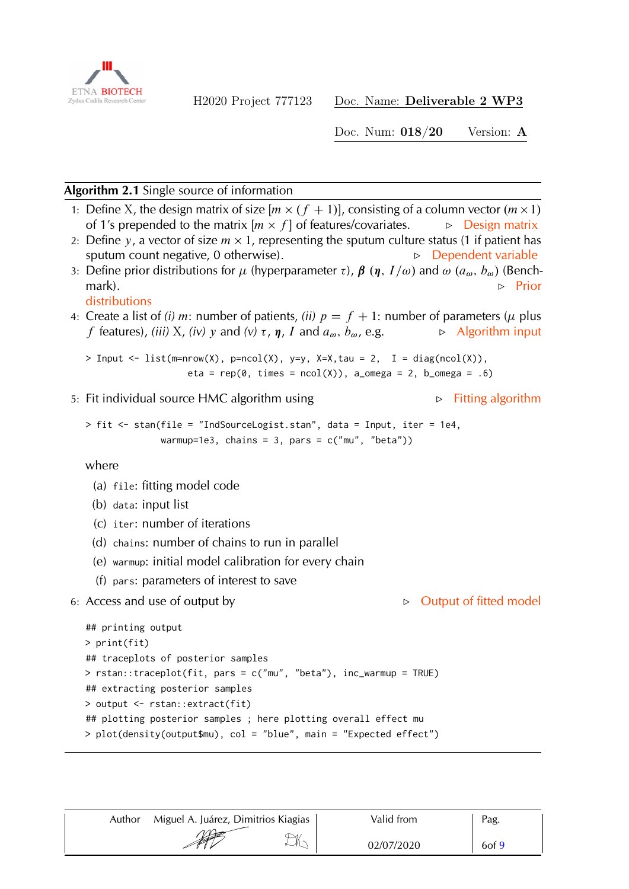

Doc. Num: 018/20 Version: A

## <span id="page-5-0"></span>**Algorithm 2.1** Single source of information

- 1: Define X, the design matrix of size  $[m \times (f + 1)]$ , consisting of a column vector  $(m \times 1)$ of 1's prepended to the matrix  $[m \times f]$  of features/covariates.  $\Rightarrow$  Design matrix
- 2: Define y, a vector of size  $m \times 1$ , representing the sputum culture status (1 if patient has sputum count negative,  $0$  otherwise). Fig.  $\Box$  Dependent variable
- 3: Define prior distributions for  $\mu$  (hyperparameter  $\tau$ ),  $\beta$  ( $\eta$ ,  $I/\omega$ ) and  $\omega$  ( $a_{\omega}$ ,  $b_{\omega}$ ) (Benchmark).  $\triangleright$  Prior

distributions

4: Create a list of *(i) m*: number of patients, *(ii)*  $p = f + 1$ : number of parameters ( $\mu$  plus *f* features), *(iii)* X, *(iv)* y and *(v)*  $\tau$ ,  $\eta$ , I and  $a_{\omega}$ ,  $b_{\omega}$ , e.g.  $\Rightarrow$  Algorithm input

```
> Input <- list(m=nrow(X), p=ncol(X), y=y, X=X,tau = 2, I = diag(ncol(X)),
                     eta = rep(\emptyset, \text{ times} = ncol(X)), a_omega = 2, b_omega = .6)
```
5: Fit individual source HMC algorithm using  $\triangleright$  Fitting algorithm

```
> fit <- stan(file = "IndSourceLogist.stan", data = Input, iter = 1e4,
              warmup=1e3, chains = 3, pars = c("mu", "beta"))
```
where

- (a) file: fitting model code
- (b) data: input list
- (c) iter: number of iterations
- (d) chains: number of chains to run in parallel
- (e) warmup: initial model calibration for every chain
- (f) pars: parameters of interest to save
- 6: Access and use of output by F Output of fitted model

```
## printing output
> print(fit)
## traceplots of posterior samples
> rstan::traceplot(fit, pars = c("mu", "beta"), inc_warmup = TRUE)
## extracting posterior samples
> output <- rstan::extract(fit)
## plotting posterior samples ; here plotting overall effect mu
> plot(density(output$mu), col = "blue", main = "Expected effect")
```

| Author | Miguel A. Juárez, Dimitrios Kiagias | Valid from | Pag.       |
|--------|-------------------------------------|------------|------------|
|        | <b>SEP</b>                          | 02/07/2020 | $6$ of $9$ |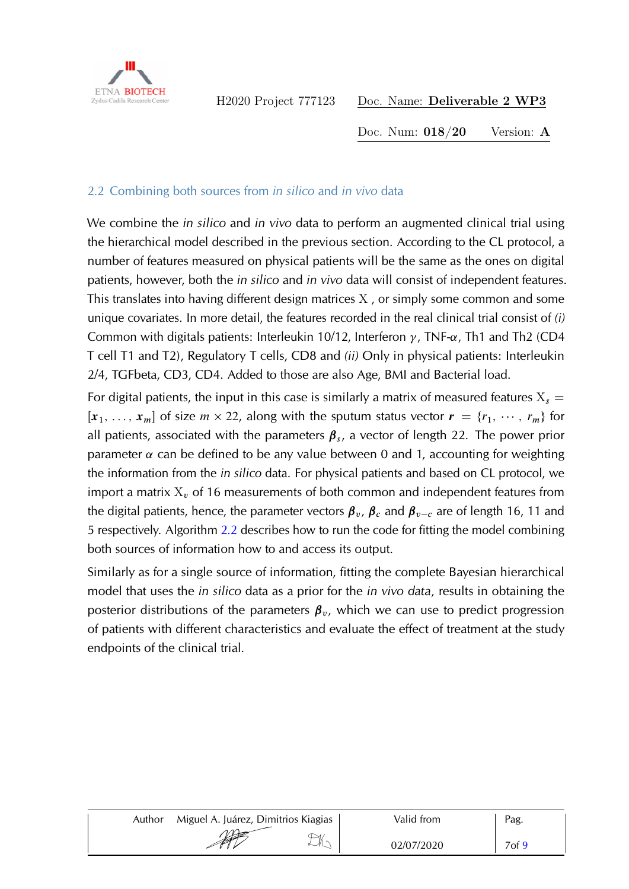

Doc. Num: 018/20 Version: A

## 2.2 Combining both sources from *in silico* and *in vivo* data

We combine the *in silico* and *in vivo* data to perform an augmented clinical trial using the hierarchical model described in the previous section. According to the CL protocol, a number of features measured on physical patients will be the same as the ones on digital patients, however, both the *in silico* and *in vivo* data will consist of independent features. This translates into having different design matrices X , or simply some common and some unique covariates. In more detail, the features recorded in the real clinical trial consist of *(i)* Common with digitals patients: Interleukin 10/12, Interferon  $\gamma$ , TNF- $\alpha$ , Th1 and Th2 (CD4 T cell T1 and T2), Regulatory T cells, CD8 and *(ii)* Only in physical patients: Interleukin 2/4, TGFbeta, CD3, CD4. Added to those are also Age, BMI and Bacterial load.

For digital patients, the input in this case is similarly a matrix of measured features  $X_s =$  $[x_1, \ldots, x_m]$  of size  $m \times 22$ , along with the sputum status vector  $\mathbf{r} = \{r_1, \cdots, r_m\}$  for all patients, associated with the parameters  $\beta_{s}$ , a vector of length 22. The power prior parameter  $\alpha$  can be defined to be any value between 0 and 1, accounting for weighting the information from the *in silico* data. For physical patients and based on CL protocol, we import a matrix  $X_v$  of 16 measurements of both common and independent features from the digital patients, hence, the parameter vectors  $\beta_v$ ,  $\beta_c$  and  $\beta_{v-c}$  are of length 16, 11 and 5 respectively. Algorithm [2.2](#page-7-0) describes how to run the code for fitting the model combining both sources of information how to and access its output.

Similarly as for a single source of information, fitting the complete Bayesian hierarchical model that uses the *in silico* data as a prior for the *in vivo data*, results in obtaining the posterior distributions of the parameters  $\beta_v$ , which we can use to predict progression of patients with different characteristics and evaluate the effect of treatment at the study endpoints of the clinical trial.

| Author | Miguel A. Juárez, Dimitrios Kiagias | Valid from | Pag.              |
|--------|-------------------------------------|------------|-------------------|
|        | <b>APP</b><br>↘                     | 02/07/2020 | 7 <sub>of</sub> 9 |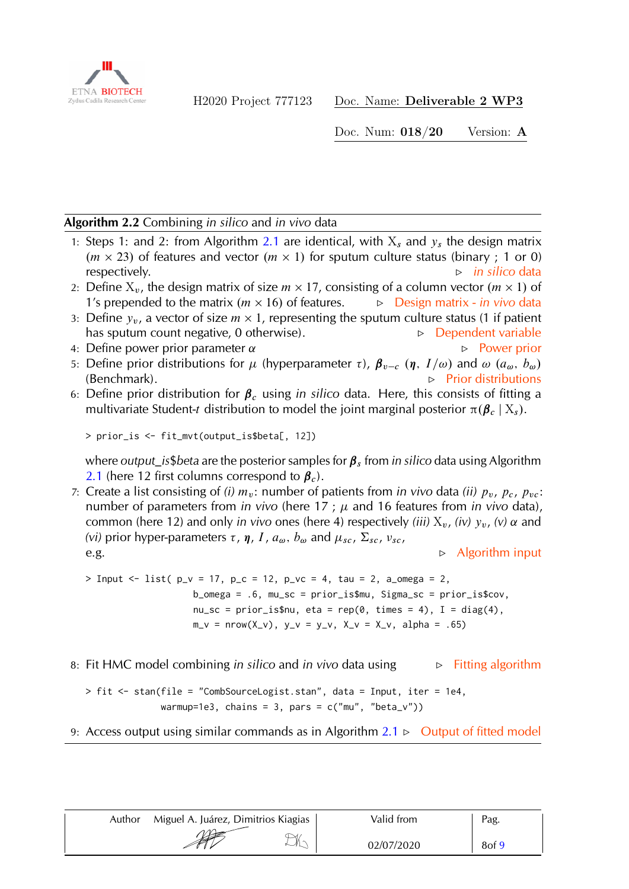

Doc. Num: 018/20 Version: A

#### <span id="page-7-0"></span>**Algorithm 2.2** Combining *in silico* and *in vivo* data

- 1: Steps 1: and 2: from Algorithm [2.1](#page-5-0) are identical, with  $X_s$  and  $y_s$  the design matrix  $(m \times 23)$  of features and vector  $(m \times 1)$  for sputum culture status (binary; 1 or 0) **respectively.** F **in silico** data **b in silico** data
- 2: Define  $X_v$ , the design matrix of size  $m \times 17$ , consisting of a column vector  $(m \times 1)$  of 1's prepended to the matrix  $(m \times 16)$  of features. **⊳** Design matrix - *in vivo* data
- 3: Define  $y_v$ , a vector of size  $m \times 1$ , representing the sputum culture status (1 if patient has sputum count negative, 0 otherwise).  $\Box$  Dependent variable
- 4: Define power prior parameter  $\alpha$  **F** Power prior
- 5: Define prior distributions for  $\mu$  (hyperparameter  $\tau$ ),  $\beta_{v-c}$   $(\eta, I/\omega)$  and  $\omega$   $(a_{\omega}, b_{\omega})$ (Benchmark).  $\triangleright$  Prior distributions
- 6: Define prior distribution for  $\beta_c$  using *in silico* data. Here, this consists of fitting a multivariate Student-t distribution to model the joint marginal posterior  $\pi(\beta_c | X_s)$ .

```
> prior_is <- fit_mvt(output_is$beta[, 12])
```
where *output\_is*\$*beta* are the posterior samples for  $\beta_s$  from *in silico* data using Algorithm [2.1](#page-5-0) (here 12 first columns correspond to  $\beta_c$ ).

7: Create a list consisting of *(i)*  $m_v$ : number of patients from *in vivo* data *(ii)*  $p_v$ ,  $p_c$ ,  $p_{vc}$ : number of parameters from *in vivo* (here 17;  $\mu$  and 16 features from *in vivo* data), common (here 12) and only *in vivo* ones (here 4) respectively *(iii)*  $X_v$ , *(iv)*  $y_v$ , *(v)*  $\alpha$  and *(vi)* prior hyper-parameters  $\tau$ ,  $\eta$ ,  $I$ ,  $a_{\omega}$ ,  $b_{\omega}$  and  $\mu_{sc}$ ,  $\Sigma_{sc}$ ,  $v_{sc}$ , e.g.  $\triangleright$  Algorithm input

> Input <- list( $p_v = 17$ ,  $p_c = 12$ ,  $p_v = 4$ ,  $tau = 2$ ,  $a_{0}$  mega = 2, b\_omega = .6, mu\_sc = prior\_is\$mu, Sigma\_sc = prior\_is\$cov,  $nu\_sc = prior\_is$ \$nu, eta = rep(0, times = 4), I = diag(4),  $m_v = nrow(X_v), y_v = y_v, X_v = X_v, alpha = .65)$ 

8: Fit HMC model combining *in silico* and *in vivo* data using  $\rightarrow$  Fitting algorithm

> fit <- stan(file = "CombSourceLogist.stan", data = Input, iter = 1e4, warmup=1e3, chains = 3, pars =  $c("mu", "beta_v")$ 

## 9: Access output using similar commands as in Algorithm  $2.1 \triangleright$  $2.1 \triangleright$  Output of fitted model

| Author | Miguel A. Juárez, Dimitrios Kiagias | Valid from | Pag.       |
|--------|-------------------------------------|------------|------------|
|        | <b>REPA</b>                         | 02/07/2020 | $8$ of $9$ |